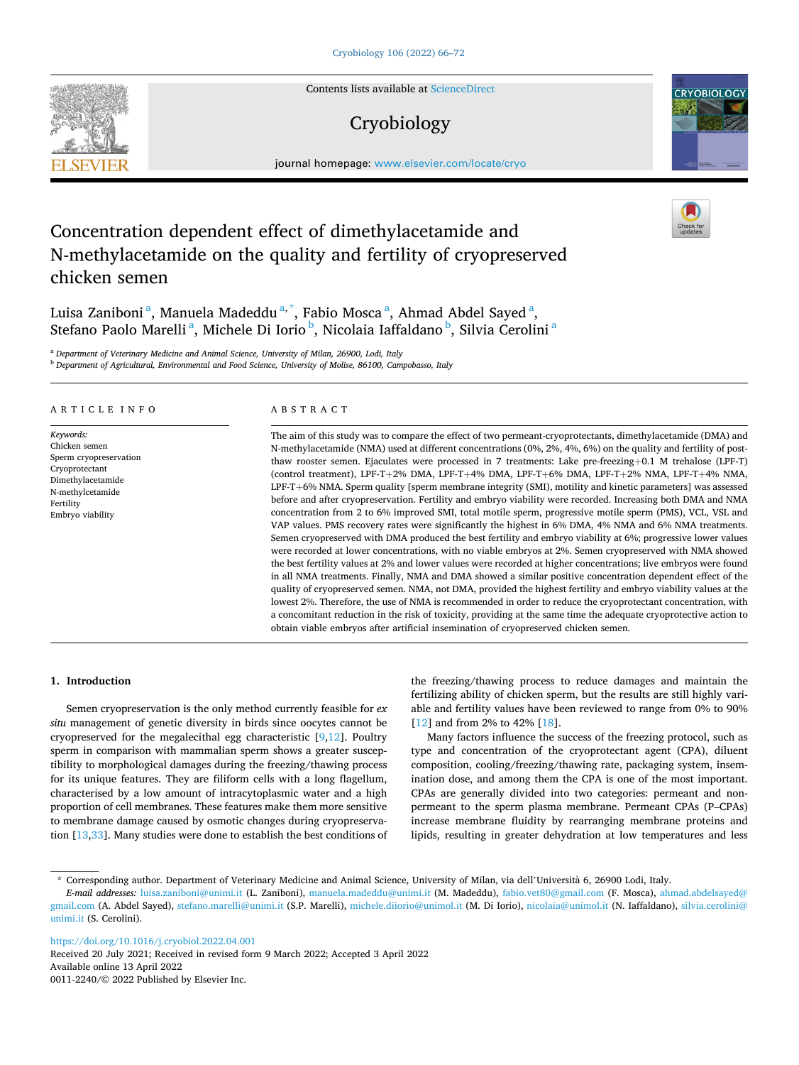Contents lists available at [ScienceDirect](www.sciencedirect.com/science/journal/00112240)

# Cryobiology

journal homepage: [www.elsevier.com/locate/cryo](https://www.elsevier.com/locate/cryo)

# Concentration dependent effect of dimethylacetamide and N-methylacetamide on the quality and fertility of cryopreserved chicken semen

Luisa Zaniboni<sup>a</sup>, Manuela Madeddu<sup>a,\*</sup>, Fabio Mosca<sup>a</sup>, Ahmad Abdel Sayed<sup>a</sup>, Stefano Paolo Marelli<sup>a</sup>, Michele Di Iorio<sup>b</sup>, Nicolaia Iaffaldano<sup>b</sup>, Silvia Cerolini<sup>a</sup>

<sup>a</sup> *Department of Veterinary Medicine and Animal Science, University of Milan, 26900, Lodi, Italy* 

<sup>b</sup> *Department of Agricultural, Environmental and Food Science, University of Molise, 86100, Campobasso, Italy* 

# ARTICLE INFO

*Keywords:*  Chicken semen Sperm cryopreservation Cryoprotectant Dimethylacetamide N-methylcetamide Fertility Embryo viability

# ABSTRACT

The aim of this study was to compare the effect of two permeant-cryoprotectants, dimethylacetamide (DMA) and N-methylacetamide (NMA) used at different concentrations (0%, 2%, 4%, 6%) on the quality and fertility of postthaw rooster semen. Ejaculates were processed in 7 treatments: Lake pre-freezing+0.1 M trehalose (LPF-T) (control treatment), LPF-T+2% DMA, LPF-T+4% DMA, LPF-T+6% DMA, LPF-T+2% NMA, LPF-T+4% NMA, LPF-T+6% NMA. Sperm quality [sperm membrane integrity (SMI), motility and kinetic parameters] was assessed before and after cryopreservation. Fertility and embryo viability were recorded. Increasing both DMA and NMA concentration from 2 to 6% improved SMI, total motile sperm, progressive motile sperm (PMS), VCL, VSL and VAP values. PMS recovery rates were significantly the highest in 6% DMA, 4% NMA and 6% NMA treatments. Semen cryopreserved with DMA produced the best fertility and embryo viability at 6%; progressive lower values were recorded at lower concentrations, with no viable embryos at 2%. Semen cryopreserved with NMA showed the best fertility values at 2% and lower values were recorded at higher concentrations; live embryos were found in all NMA treatments. Finally, NMA and DMA showed a similar positive concentration dependent effect of the quality of cryopreserved semen. NMA, not DMA, provided the highest fertility and embryo viability values at the lowest 2%. Therefore, the use of NMA is recommended in order to reduce the cryoprotectant concentration, with a concomitant reduction in the risk of toxicity, providing at the same time the adequate cryoprotective action to obtain viable embryos after artificial insemination of cryopreserved chicken semen.

## **1. Introduction**

Semen cryopreservation is the only method currently feasible for *ex situ* management of genetic diversity in birds since oocytes cannot be cryopreserved for the megalecithal egg characteristic  $[9,12]$  $[9,12]$  $[9,12]$  $[9,12]$ . Poultry sperm in comparison with mammalian sperm shows a greater susceptibility to morphological damages during the freezing/thawing process for its unique features. They are filiform cells with a long flagellum, characterised by a low amount of intracytoplasmic water and a high proportion of cell membranes. These features make them more sensitive to membrane damage caused by osmotic changes during cryopreservation [\[13](#page-5-0)[,33](#page-6-0)]. Many studies were done to establish the best conditions of

the freezing/thawing process to reduce damages and maintain the fertilizing ability of chicken sperm, but the results are still highly variable and fertility values have been reviewed to range from 0% to 90% [[12\]](#page-5-0) and from 2% to 42% [\[18](#page-6-0)].

Many factors influence the success of the freezing protocol, such as type and concentration of the cryoprotectant agent (CPA), diluent composition, cooling/freezing/thawing rate, packaging system, insemination dose, and among them the CPA is one of the most important. CPAs are generally divided into two categories: permeant and nonpermeant to the sperm plasma membrane. Permeant CPAs (P–CPAs) increase membrane fluidity by rearranging membrane proteins and lipids, resulting in greater dehydration at low temperatures and less

<https://doi.org/10.1016/j.cryobiol.2022.04.001>

Available online 13 April 2022 Received 20 July 2021; Received in revised form 9 March 2022; Accepted 3 April 2022

0011-2240/© 2022 Published by Elsevier Inc.







<sup>\*</sup> Corresponding author. Department of Veterinary Medicine and Animal Science, University of Milan, via dell'Universita ` 6, 26900 Lodi, Italy.

*E-mail addresses:* [luisa.zaniboni@unimi.it](mailto:luisa.zaniboni@unimi.it) (L. Zaniboni), [manuela.madeddu@unimi.it](mailto:manuela.madeddu@unimi.it) (M. Madeddu), [fabio.vet80@gmail.com](mailto:fabio.vet80@gmail.com) (F. Mosca), [ahmad.abdelsayed@](mailto:ahmad.abdelsayed@gmail.com)  [gmail.com](mailto:ahmad.abdelsayed@gmail.com) (A. Abdel Sayed), [stefano.marelli@unimi.it](mailto:stefano.marelli@unimi.it) (S.P. Marelli), [michele.diiorio@unimol.it](mailto:michele.diiorio@unimol.it) (M. Di Iorio), [nicolaia@unimol.it](mailto:nicolaia@unimol.it) (N. Iaffaldano), silvia.cerolini@ [unimi.it](mailto:silvia.cerolini@unimi.it) (S. Cerolini).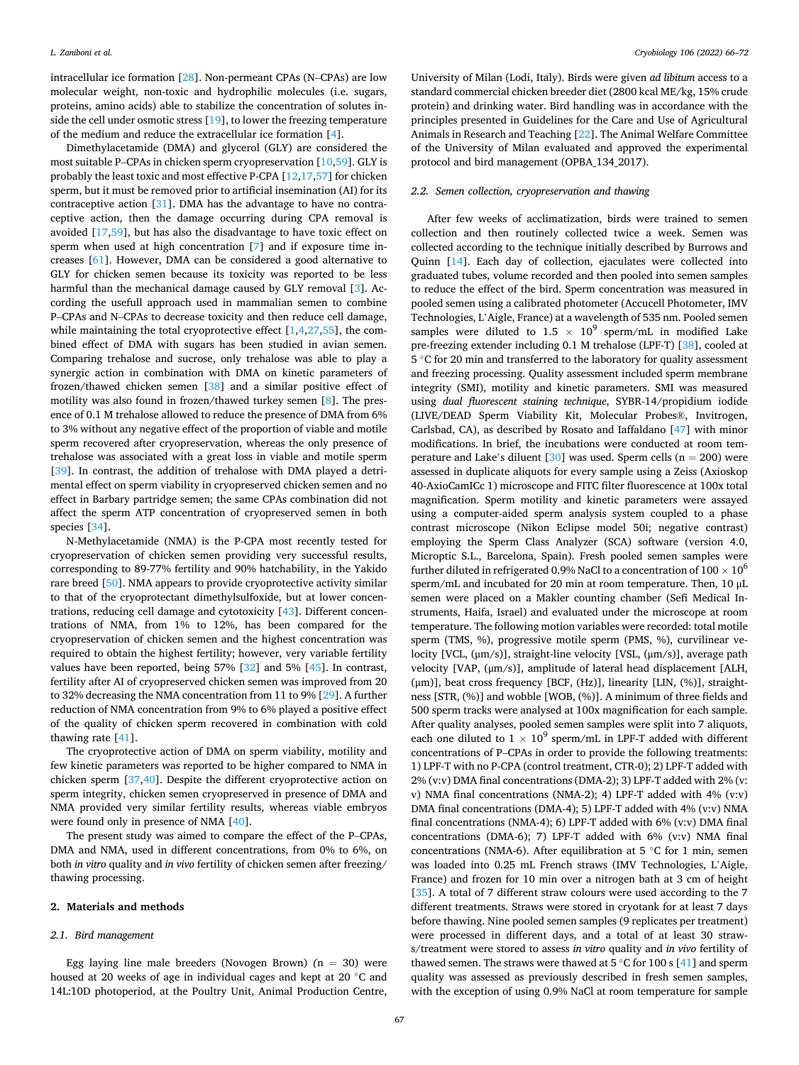intracellular ice formation [[28\]](#page-6-0). Non-permeant CPAs (N–CPAs) are low molecular weight, non-toxic and hydrophilic molecules (i.e. sugars, proteins, amino acids) able to stabilize the concentration of solutes inside the cell under osmotic stress [[19\]](#page-6-0), to lower the freezing temperature of the medium and reduce the extracellular ice formation [[4](#page-5-0)].

Dimethylacetamide (DMA) and glycerol (GLY) are considered the most suitable P–CPAs in chicken sperm cryopreservation [\[10](#page-5-0)[,59](#page-6-0)]. GLY is probably the least toxic and most effective P-CPA [\[12](#page-5-0)[,17](#page-6-0),[57\]](#page-6-0) for chicken sperm, but it must be removed prior to artificial insemination (AI) for its contraceptive action [\[31](#page-6-0)]. DMA has the advantage to have no contraceptive action, then the damage occurring during CPA removal is avoided [[17,59\]](#page-6-0), but has also the disadvantage to have toxic effect on sperm when used at high concentration [\[7\]](#page-5-0) and if exposure time increases [\[61](#page-6-0)]. However, DMA can be considered a good alternative to GLY for chicken semen because its toxicity was reported to be less harmful than the mechanical damage caused by GLY removal [\[3\]](#page-5-0). According the usefull approach used in mammalian semen to combine P–CPAs and N–CPAs to decrease toxicity and then reduce cell damage, while maintaining the total cryoprotective effect  $[1,4,27,55]$  $[1,4,27,55]$  $[1,4,27,55]$  $[1,4,27,55]$  $[1,4,27,55]$  $[1,4,27,55]$ , the combined effect of DMA with sugars has been studied in avian semen. Comparing trehalose and sucrose, only trehalose was able to play a synergic action in combination with DMA on kinetic parameters of frozen/thawed chicken semen [\[38](#page-6-0)] and a similar positive effect of motility was also found in frozen/thawed turkey semen [[8](#page-5-0)]. The presence of 0.1 M trehalose allowed to reduce the presence of DMA from 6% to 3% without any negative effect of the proportion of viable and motile sperm recovered after cryopreservation, whereas the only presence of trehalose was associated with a great loss in viable and motile sperm [[39\]](#page-6-0). In contrast, the addition of trehalose with DMA played a detrimental effect on sperm viability in cryopreserved chicken semen and no effect in Barbary partridge semen; the same CPAs combination did not affect the sperm ATP concentration of cryopreserved semen in both species [\[34](#page-6-0)].

N-Methylacetamide (NMA) is the P-CPA most recently tested for cryopreservation of chicken semen providing very successful results, corresponding to 89-77% fertility and 90% hatchability, in the Yakido rare breed [\[50](#page-6-0)]. NMA appears to provide cryoprotective activity similar to that of the cryoprotectant dimethylsulfoxide, but at lower concentrations, reducing cell damage and cytotoxicity [[43\]](#page-6-0). Different concentrations of NMA, from 1% to 12%, has been compared for the cryopreservation of chicken semen and the highest concentration was required to obtain the highest fertility; however, very variable fertility values have been reported, being 57% [[32\]](#page-6-0) and 5% [[45\]](#page-6-0). In contrast, fertility after AI of cryopreserved chicken semen was improved from 20 to 32% decreasing the NMA concentration from 11 to 9% [[29\]](#page-6-0). A further reduction of NMA concentration from 9% to 6% played a positive effect of the quality of chicken sperm recovered in combination with cold thawing rate [\[41](#page-6-0)].

The cryoprotective action of DMA on sperm viability, motility and few kinetic parameters was reported to be higher compared to NMA in chicken sperm [[37,40\]](#page-6-0). Despite the different cryoprotective action on sperm integrity, chicken semen cryopreserved in presence of DMA and NMA provided very similar fertility results, whereas viable embryos were found only in presence of NMA [\[40](#page-6-0)].

The present study was aimed to compare the effect of the P–CPAs, DMA and NMA, used in different concentrations, from 0% to 6%, on both *in vitro* quality and *in vivo* fertility of chicken semen after freezing/ thawing processing.

### **2. Materials and methods**

# *2.1. Bird management*

Egg laying line male breeders (Novogen Brown)  $(n = 30)$  were housed at 20 weeks of age in individual cages and kept at 20 ◦C and 14L:10D photoperiod, at the Poultry Unit, Animal Production Centre,

University of Milan (Lodi, Italy). Birds were given *ad libitum* access to a standard commercial chicken breeder diet (2800 kcal ME/kg, 15% crude protein) and drinking water. Bird handling was in accordance with the principles presented in Guidelines for the Care and Use of Agricultural Animals in Research and Teaching [\[22](#page-6-0)]. The Animal Welfare Committee of the University of Milan evaluated and approved the experimental protocol and bird management (OPBA\_134\_2017).

# *2.2. Semen collection, cryopreservation and thawing*

After few weeks of acclimatization, birds were trained to semen collection and then routinely collected twice a week. Semen was collected according to the technique initially described by Burrows and Quinn [\[14](#page-6-0)]. Each day of collection, ejaculates were collected into graduated tubes, volume recorded and then pooled into semen samples to reduce the effect of the bird. Sperm concentration was measured in pooled semen using a calibrated photometer (Accucell Photometer, IMV Technologies, L'Aigle, France) at a wavelength of 535 nm. Pooled semen samples were diluted to 1.5  $\times$  10<sup>9</sup> sperm/mL in modified Lake pre-freezing extender including 0.1 M trehalose (LPF-T) [[38\]](#page-6-0), cooled at 5 ◦C for 20 min and transferred to the laboratory for quality assessment and freezing processing. Quality assessment included sperm membrane integrity (SMI), motility and kinetic parameters. SMI was measured using *dual fluorescent staining technique*, SYBR-14/propidium iodide (LIVE/DEAD Sperm Viability Kit, Molecular Probes®, Invitrogen, Carlsbad, CA), as described by Rosato and Iaffaldano [[47\]](#page-6-0) with minor modifications. In brief, the incubations were conducted at room tem-perature and Lake's diluent [\[30](#page-6-0)] was used. Sperm cells ( $n = 200$ ) were assessed in duplicate aliquots for every sample using a Zeiss (Axioskop 40-AxioCamICc 1) microscope and FITC filter fluorescence at 100x total magnification. Sperm motility and kinetic parameters were assayed using a computer-aided sperm analysis system coupled to a phase contrast microscope (Nikon Eclipse model 50i; negative contrast) employing the Sperm Class Analyzer (SCA) software (version 4.0, Microptic S.L., Barcelona, Spain). Fresh pooled semen samples were further diluted in refrigerated 0.9% NaCl to a concentration of  $100 \times 10^6$ sperm/mL and incubated for 20 min at room temperature. Then, 10 μL semen were placed on a Makler counting chamber (Sefi Medical Instruments, Haifa, Israel) and evaluated under the microscope at room temperature. The following motion variables were recorded: total motile sperm (TMS, %), progressive motile sperm (PMS, %), curvilinear velocity [VCL, (μm/s)], straight-line velocity [VSL, (μm/s)], average path velocity [VAP, (μm/s)], amplitude of lateral head displacement [ALH, (μm)], beat cross frequency [BCF, (Hz)], linearity [LIN, (%)], straightness [STR, (%)] and wobble [WOB, (%)]. A minimum of three fields and 500 sperm tracks were analysed at 100x magnification for each sample. After quality analyses, pooled semen samples were split into 7 aliquots, each one diluted to  $1 \times 10^9$  sperm/mL in LPF-T added with different concentrations of P–CPAs in order to provide the following treatments: 1) LPF-T with no P-CPA (control treatment, CTR-0); 2) LPF-T added with 2% (v:v) DMA final concentrations (DMA-2); 3) LPF-T added with 2% (v: v) NMA final concentrations (NMA-2); 4) LPF-T added with 4% (v:v) DMA final concentrations (DMA-4); 5) LPF-T added with 4% (v:v) NMA final concentrations (NMA-4); 6) LPF-T added with 6% (v:v) DMA final concentrations (DMA-6); 7) LPF-T added with 6% (v:v) NMA final concentrations (NMA-6). After equilibration at 5 ◦C for 1 min, semen was loaded into 0.25 mL French straws (IMV Technologies, L'Aigle, France) and frozen for 10 min over a nitrogen bath at 3 cm of height [[35\]](#page-6-0). A total of 7 different straw colours were used according to the 7 different treatments. Straws were stored in cryotank for at least 7 days before thawing. Nine pooled semen samples (9 replicates per treatment) were processed in different days, and a total of at least 30 straws/treatment were stored to assess *in vitro* quality and *in vivo* fertility of thawed semen. The straws were thawed at 5  $°C$  for 100 s [\[41](#page-6-0)] and sperm quality was assessed as previously described in fresh semen samples, with the exception of using 0.9% NaCl at room temperature for sample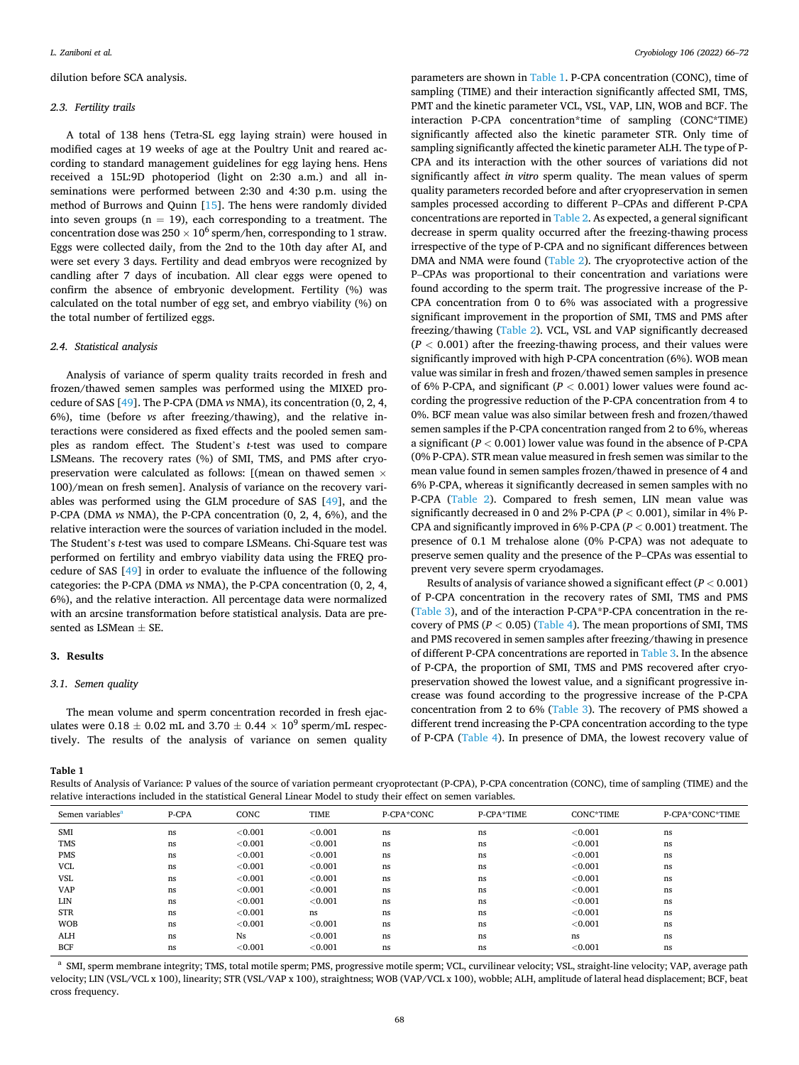dilution before SCA analysis.

## *2.3. Fertility trails*

A total of 138 hens (Tetra-SL egg laying strain) were housed in modified cages at 19 weeks of age at the Poultry Unit and reared according to standard management guidelines for egg laying hens. Hens received a 15L:9D photoperiod (light on 2:30 a.m.) and all inseminations were performed between 2:30 and 4:30 p.m. using the method of Burrows and Quinn [\[15](#page-6-0)]. The hens were randomly divided into seven groups ( $n = 19$ ), each corresponding to a treatment. The concentration dose was  $250 \times 10^6$  sperm/hen, corresponding to 1 straw. Eggs were collected daily, from the 2nd to the 10th day after AI, and were set every 3 days. Fertility and dead embryos were recognized by candling after 7 days of incubation. All clear eggs were opened to confirm the absence of embryonic development. Fertility (%) was calculated on the total number of egg set, and embryo viability (%) on the total number of fertilized eggs.

## *2.4. Statistical analysis*

Analysis of variance of sperm quality traits recorded in fresh and frozen/thawed semen samples was performed using the MIXED procedure of SAS [\[49](#page-6-0)]. The P-CPA (DMA *vs* NMA), its concentration (0, 2, 4, 6%), time (before *vs* after freezing/thawing), and the relative interactions were considered as fixed effects and the pooled semen samples as random effect. The Student's *t*-test was used to compare LSMeans. The recovery rates (%) of SMI, TMS, and PMS after cryopreservation were calculated as follows: [(mean on thawed semen × 100)/mean on fresh semen]. Analysis of variance on the recovery variables was performed using the GLM procedure of SAS [[49\]](#page-6-0), and the P-CPA (DMA *vs* NMA), the P-CPA concentration (0, 2, 4, 6%), and the relative interaction were the sources of variation included in the model. The Student's *t*-test was used to compare LSMeans. Chi-Square test was performed on fertility and embryo viability data using the FREQ procedure of SAS [[49\]](#page-6-0) in order to evaluate the influence of the following categories: the P-CPA (DMA *vs* NMA), the P-CPA concentration (0, 2, 4, 6%), and the relative interaction. All percentage data were normalized with an arcsine transformation before statistical analysis. Data are presented as LSMean  $\pm$  SE.

# **3. Results**

## *3.1. Semen quality*

The mean volume and sperm concentration recorded in fresh ejaculates were  $0.18 \pm 0.02$  mL and  $3.70 \pm 0.44 \times 10^9$  sperm/mL respectively. The results of the analysis of variance on semen quality parameters are shown in Table 1. P-CPA concentration (CONC), time of sampling (TIME) and their interaction significantly affected SMI, TMS, PMT and the kinetic parameter VCL, VSL, VAP, LIN, WOB and BCF. The interaction P-CPA concentration\*time of sampling (CONC\*TIME) significantly affected also the kinetic parameter STR. Only time of sampling significantly affected the kinetic parameter ALH. The type of P-CPA and its interaction with the other sources of variations did not significantly affect *in vitro* sperm quality. The mean values of sperm quality parameters recorded before and after cryopreservation in semen samples processed according to different P–CPAs and different P-CPA concentrations are reported in [Table 2.](#page-3-0) As expected, a general significant decrease in sperm quality occurred after the freezing-thawing process irrespective of the type of P-CPA and no significant differences between DMA and NMA were found [\(Table 2\)](#page-3-0). The cryoprotective action of the P–CPAs was proportional to their concentration and variations were found according to the sperm trait. The progressive increase of the P-CPA concentration from 0 to 6% was associated with a progressive significant improvement in the proportion of SMI, TMS and PMS after freezing/thawing [\(Table 2\)](#page-3-0). VCL, VSL and VAP significantly decreased  $(P < 0.001)$  after the freezing-thawing process, and their values were significantly improved with high P-CPA concentration (6%). WOB mean value was similar in fresh and frozen/thawed semen samples in presence of 6% P-CPA, and significant ( $P < 0.001$ ) lower values were found according the progressive reduction of the P-CPA concentration from 4 to 0%. BCF mean value was also similar between fresh and frozen/thawed semen samples if the P-CPA concentration ranged from 2 to 6%, whereas a significant (*P <* 0.001) lower value was found in the absence of P-CPA (0% P-CPA). STR mean value measured in fresh semen was similar to the mean value found in semen samples frozen/thawed in presence of 4 and 6% P-CPA, whereas it significantly decreased in semen samples with no P-CPA [\(Table 2](#page-3-0)). Compared to fresh semen, LIN mean value was significantly decreased in 0 and 2% P-CPA (*P <* 0.001), similar in 4% P-CPA and significantly improved in 6% P-CPA (*P <* 0.001) treatment. The presence of 0.1 M trehalose alone (0% P-CPA) was not adequate to preserve semen quality and the presence of the P–CPAs was essential to prevent very severe sperm cryodamages.

Results of analysis of variance showed a significant effect (*P <* 0.001) of P-CPA concentration in the recovery rates of SMI, TMS and PMS ([Table 3](#page-3-0)), and of the interaction P-CPA\*P-CPA concentration in the recovery of PMS (*P <* 0.05) [\(Table 4](#page-3-0)). The mean proportions of SMI, TMS and PMS recovered in semen samples after freezing/thawing in presence of different P-CPA concentrations are reported in [Table 3](#page-3-0). In the absence of P-CPA, the proportion of SMI, TMS and PMS recovered after cryopreservation showed the lowest value, and a significant progressive increase was found according to the progressive increase of the P-CPA concentration from 2 to 6% ([Table 3\)](#page-3-0). The recovery of PMS showed a different trend increasing the P-CPA concentration according to the type of P-CPA [\(Table 4](#page-3-0)). In presence of DMA, the lowest recovery value of

**Table 1** 

Results of Analysis of Variance: P values of the source of variation permeant cryoprotectant (P-CPA), P-CPA concentration (CONC), time of sampling (TIME) and the relative interactions included in the statistical General Linear Model to study their effect on semen variables.

| Semen variables <sup>a</sup> | P-CPA | CONC       | <b>TIME</b> | P-CPA*CONC | P-CPA*TIME | CONC*TIME | P-CPA*CONC*TIME |
|------------------------------|-------|------------|-------------|------------|------------|-----------|-----------------|
| <b>SMI</b>                   | ns    | < 0.001    | < 0.001     | ns         | ns         | < 0.001   | ns              |
| <b>TMS</b>                   | ns    | < 0.001    | < 0.001     | ns         | ns         | < 0.001   | ns              |
| <b>PMS</b>                   | ns    | < 0.001    | < 0.001     | ns         | ns         | < 0.001   | ns              |
| <b>VCL</b>                   | ns    | < 0.001    | < 0.001     | ns         | ns         | < 0.001   | ns              |
| VSL                          | ns    | < 0.001    | < 0.001     | ns         | ns         | < 0.001   | ns              |
| <b>VAP</b>                   | ns    | < 0.001    | < 0.001     | ns         | ns         | < 0.001   | ns              |
| LIN                          | ns    | < 0.001    | < 0.001     | ns         | ns         | < 0.001   | ns              |
| <b>STR</b>                   | ns    | < 0.001    | ns          | ns         | ns         | < 0.001   | ns              |
| <b>WOB</b>                   | ns    | < 0.001    | < 0.001     | ns         | ns         | < 0.001   | ns              |
| <b>ALH</b>                   | ns    | <b>Ns</b>  | < 0.001     | ns         | ns         | ns.       | ns              |
| <b>BCF</b>                   | ns    | ${<}0.001$ | < 0.001     | ns         | ns         | < 0.001   | ns              |

SMI, sperm membrane integrity; TMS, total motile sperm; PMS, progressive motile sperm; VCL, curvilinear velocity; VSL, straight-line velocity; VAP, average path velocity; LIN (VSL/VCL x 100), linearity; STR (VSL/VAP x 100), straightness; WOB (VAP/VCL x 100), wobble; ALH, amplitude of lateral head displacement; BCF, beat cross frequency.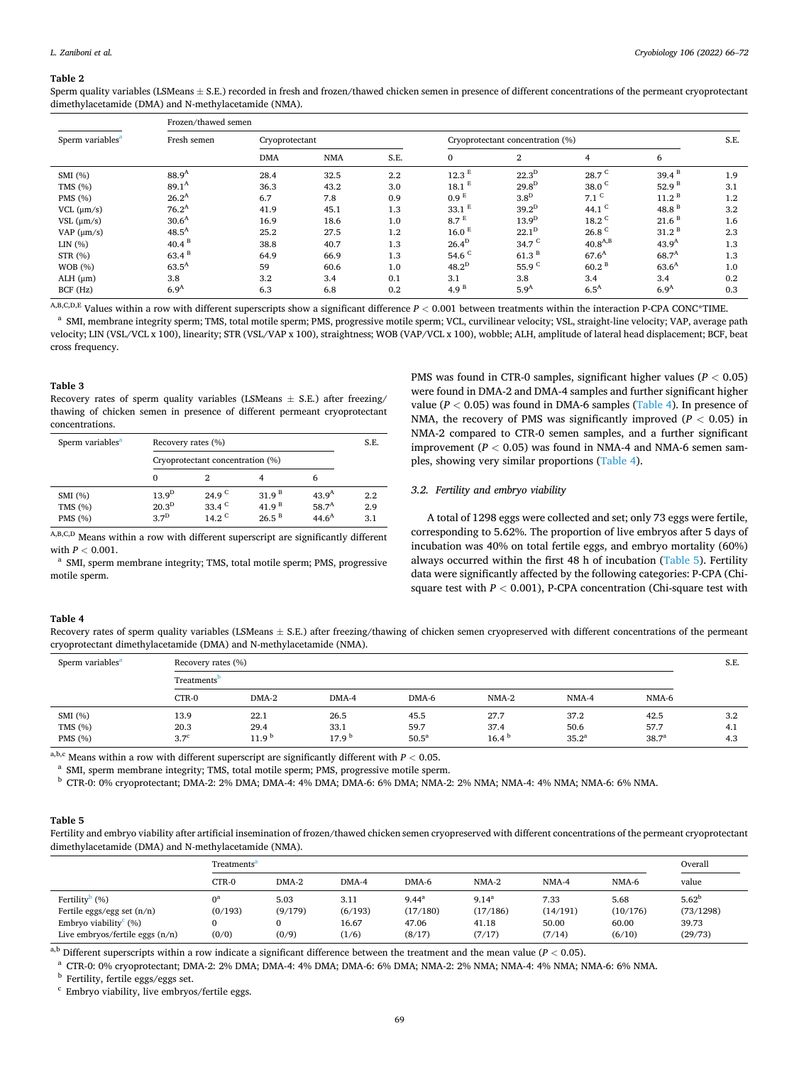#### <span id="page-3-0"></span>**Table 2**

Sperm quality variables (LSMeans  $\pm$  S.E.) recorded in fresh and frozen/thawed chicken semen in presence of different concentrations of the permeant cryoprotectant dimethylacetamide (DMA) and N-methylacetamide (NMA).

| Sperm variables <sup>a</sup> | Frozen/thawed semen |                |            |      |                                  |                   |                     |                   |     |  |
|------------------------------|---------------------|----------------|------------|------|----------------------------------|-------------------|---------------------|-------------------|-----|--|
|                              | Fresh semen         | Cryoprotectant |            |      | Cryoprotectant concentration (%) |                   |                     |                   |     |  |
|                              |                     | <b>DMA</b>     | <b>NMA</b> | S.E. | $\mathbf{0}$                     | $\overline{2}$    | $\overline{4}$      | 6                 |     |  |
| SMI(%)                       | $88.9^{A}$          | 28.4           | 32.5       | 2.2  | 12.3 <sup>E</sup>                | $22.3^D$          | 28.7 <sup>C</sup>   | $39.4^{B}$        | 1.9 |  |
| TMS $(\% )$                  | $89.1^{\text{A}}$   | 36.3           | 43.2       | 3.0  | $18.1$ <sup>E</sup>              | $29.8^D$          | 38.0 $C$            | 52.9 <sup>B</sup> | 3.1 |  |
| PMS (%)                      | $26.2^A$            | 6.7            | 7.8        | 0.9  | 0.9 <sup>E</sup>                 | $3.8^D$           | $7.1$ <sup>C</sup>  | 11.2 <sup>B</sup> | 1.2 |  |
| $VCL$ ( $\mu$ m/s)           | $76.2^A$            | 41.9           | 45.1       | 1.3  | $33.1$ <sup>E</sup>              | $39.2^D$          | 44.1 $c$            | 48.8 $B$          | 3.2 |  |
| $VSL$ ( $\mu$ m/s)           | 30.6 <sup>A</sup>   | 16.9           | 18.6       | 1.0  | 8.7 <sup>E</sup>                 | 13.9 <sup>D</sup> | $18.2$ <sup>C</sup> | 21.6 <sup>B</sup> | 1.6 |  |
| VAP $(\mu m/s)$              | $48.5^{A}$          | 25.2           | 27.5       | 1.2  | 16.0 <sup>E</sup>                | $22.1^D$          | 26.8 <sup>C</sup>   | 31.2 <sup>B</sup> | 2.3 |  |
| LIN(%)                       | 40.4 <sup>B</sup>   | 38.8           | 40.7       | 1.3  | 26.4 <sup>D</sup>                | 34.7 <sup>C</sup> | $40.8^{A,B}$        | 43.9 <sup>A</sup> | 1.3 |  |
| STR (%)                      | $63.4^{B}$          | 64.9           | 66.9       | 1.3  | 54.6 $C$                         | 61.3 <sup>B</sup> | $67.6^{\rm A}$      | $68.7^{A}$        | 1.3 |  |
| <b>WOB</b> (%)               | $63.5^{A}$          | 59             | 60.6       | 1.0  | $48.2^{\rm D}$                   | 55.9 <sup>C</sup> | 60.2 <sup>B</sup>   | 63.6 <sup>A</sup> | 1.0 |  |
| $ALH$ ( $\mu$ m)             | 3.8                 | 3.2            | 3.4        | 0.1  | 3.1                              | 3.8               | 3.4                 | 3.4               | 0.2 |  |
| BCF (Hz)                     | 6.9 <sup>A</sup>    | 6.3            | 6.8        | 0.2  | 4.9 <sup>B</sup>                 | 5.9 <sup>A</sup>  | 6.5 <sup>A</sup>    | 6.9 <sup>A</sup>  | 0.3 |  |

<sup>A,B,C,D,E</sup> Values within a row with different superscripts show a significant difference  $P < 0.001$  between treatments within the interaction P-CPA CONC\*TIME.<br><sup>a</sup> SMI, membrane integrity sperm; TMS, total motile sperm; P velocity; LIN (VSL/VCL x 100), linearity; STR (VSL/VAP x 100), straightness; WOB (VAP/VCL x 100), wobble; ALH, amplitude of lateral head displacement; BCF, beat cross frequency.

## **Table 3**

Recovery rates of sperm quality variables (LSMeans  $\pm$  S.E.) after freezing/ thawing of chicken semen in presence of different permeant cryoprotectant concentrations.

| Sperm variables <sup>a</sup>      | Recovery rates (%)                    |                                                        | S.E.                                                        |                                                      |                   |
|-----------------------------------|---------------------------------------|--------------------------------------------------------|-------------------------------------------------------------|------------------------------------------------------|-------------------|
|                                   | Cryoprotectant concentration (%)      |                                                        |                                                             |                                                      |                   |
|                                   | $\Omega$                              |                                                        |                                                             | 6                                                    |                   |
| SMI (%)<br>TMS $(\% )$<br>PMS (%) | $13.9^D$<br>$20.3^D$<br>$3.7^{\rm D}$ | 24.9 <sup>C</sup><br>33.4 $\degree$<br>14.2 $^{\circ}$ | 31.9 <sup>B</sup><br>41.9 <sup>B</sup><br>$26.5^{\text{B}}$ | 43.9 <sup>A</sup><br>$58.7^{A}$<br>44.6 <sup>A</sup> | 2.2<br>2.9<br>3.1 |

 $\rm ^{A,B,C,D}$  Means within a row with different superscript are significantly different with *P* < 0.001.<br><sup>a</sup> SMI, sperm membrane integrity; TMS, total motile sperm; PMS, progressive

motile sperm.

PMS was found in CTR-0 samples, significant higher values (*P <* 0.05) were found in DMA-2 and DMA-4 samples and further significant higher value ( $P < 0.05$ ) was found in DMA-6 samples (Table 4). In presence of NMA, the recovery of PMS was significantly improved  $(P < 0.05)$  in NMA-2 compared to CTR-0 semen samples, and a further significant improvement  $(P < 0.05)$  was found in NMA-4 and NMA-6 semen samples, showing very similar proportions (Table 4).

# *3.2. Fertility and embryo viability*

A total of 1298 eggs were collected and set; only 73 eggs were fertile, corresponding to 5.62%. The proportion of live embryos after 5 days of incubation was 40% on total fertile eggs, and embryo mortality (60%) always occurred within the first 48 h of incubation (Table 5). Fertility data were significantly affected by the following categories: P-CPA (Chisquare test with *P <* 0.001), P-CPA concentration (Chi-square test with

## **Table 4**

Recovery rates of sperm quality variables (LSMeans  $\pm$  S.E.) after freezing/thawing of chicken semen cryopreserved with different concentrations of the permeant cryoprotectant dimethylacetamide (DMA) and N-methylacetamide (NMA).

| Sperm variables <sup>a</sup>     | Recovery rates (%)               |                                   |                                   |                                   |                            |                          |                                   |                   |  |  |
|----------------------------------|----------------------------------|-----------------------------------|-----------------------------------|-----------------------------------|----------------------------|--------------------------|-----------------------------------|-------------------|--|--|
|                                  | Treatments <sup>p</sup>          |                                   |                                   |                                   |                            |                          |                                   |                   |  |  |
|                                  | CTR-0                            | $DMA-2$                           | DMA-4                             | DMA-6                             | $NMA-2$                    | NMA-4                    | NMA-6                             |                   |  |  |
| SMI (%)<br>TMS $(\%)$<br>PMS (%) | 13.9<br>20.3<br>3.7 <sup>c</sup> | 22.1<br>29.4<br>11.9 <sup>b</sup> | 26.5<br>33.1<br>17.9 <sup>5</sup> | 45.5<br>59.7<br>50.5 <sup>a</sup> | 27.7<br>37.4<br>$16.4^{b}$ | 37.2<br>50.6<br>$35.2^a$ | 42.5<br>57.7<br>38.7 <sup>a</sup> | 3.2<br>4.1<br>4.3 |  |  |

<sup>a,b,c</sup> Means within a row with different superscript are significantly different with  $P < 0.05$ .<br><sup>a</sup> SMI, sperm membrane integrity; TMS, total motile sperm; PMS, progressive motile sperm.<br><sup>b</sup> CTR-0: 0% cryoprotectant; DM

## **Table 5**

Fertility and embryo viability after artificial insemination of frozen/thawed chicken semen cryopreserved with different concentrations of the permeant cryoprotectant dimethylacetamide (DMA) and N-methylacetamide (NMA).

|                                                                                                                                             | Treatments <sup>a</sup> |                          |                                   |                                               |                                           |                                     |                                     | Overall                                     |
|---------------------------------------------------------------------------------------------------------------------------------------------|-------------------------|--------------------------|-----------------------------------|-----------------------------------------------|-------------------------------------------|-------------------------------------|-------------------------------------|---------------------------------------------|
|                                                                                                                                             | CTR-0                   | DMA-2                    | DMA-4                             | DMA-6                                         | $NMA-2$                                   | NMA-4                               | NMA-6                               | value                                       |
| Fertility <sup>D</sup> $(\% )$<br>Fertile eggs/egg set $(n/n)$<br>Embryo viability <sup>c</sup> $(\%)$<br>Live embryos/fertile eggs $(n/n)$ | (0/193)<br>(0/0)        | 5.03<br>(9/179)<br>(0/9) | 3.11<br>(6/193)<br>16.67<br>(1/6) | $9.44^{\circ}$<br>(17/180)<br>47.06<br>(8/17) | $9.14^{a}$<br>(17/186)<br>41.18<br>(7/17) | 7.33<br>(14/191)<br>50.00<br>(7/14) | 5.68<br>(10/176)<br>60.00<br>(6/10) | $5.62^{b}$<br>(73/1298)<br>39.73<br>(29/73) |

<sup>a,b</sup> Different superscripts within a row indicate a significant difference between the treatment and the mean value ( $P < 0.05$ ).<br><sup>a</sup> CTR-0: 0% cryoprotectant; DMA-2: 2% DMA; DMA-4: 4% DMA; DMA-6: 6% DMA; NMA-2: 2% NMA; N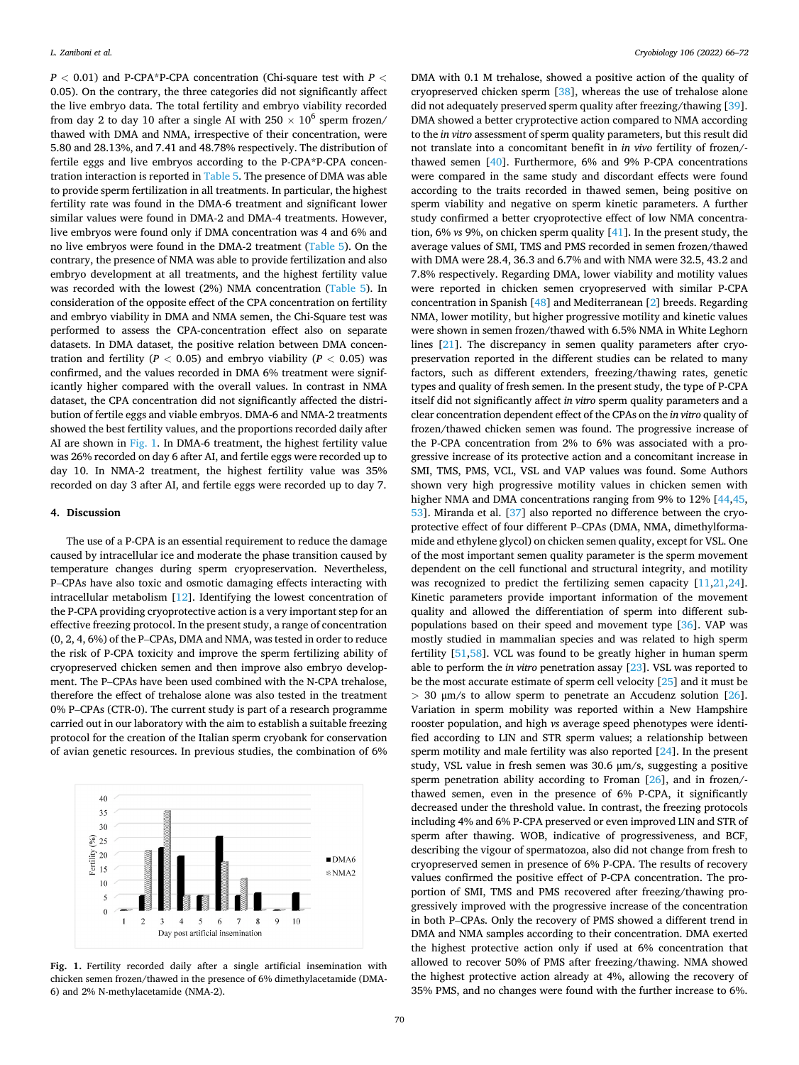*P <* 0.01) and P-CPA\*P-CPA concentration (Chi-square test with *P <* 0.05). On the contrary, the three categories did not significantly affect the live embryo data. The total fertility and embryo viability recorded from day 2 to day 10 after a single AI with 250  $\times$  10<sup>6</sup> sperm frozen/ thawed with DMA and NMA, irrespective of their concentration, were 5.80 and 28.13%, and 7.41 and 48.78% respectively. The distribution of fertile eggs and live embryos according to the P-CPA\*P-CPA concentration interaction is reported in [Table 5.](#page-3-0) The presence of DMA was able to provide sperm fertilization in all treatments. In particular, the highest fertility rate was found in the DMA-6 treatment and significant lower similar values were found in DMA-2 and DMA-4 treatments. However, live embryos were found only if DMA concentration was 4 and 6% and no live embryos were found in the DMA-2 treatment [\(Table 5\)](#page-3-0). On the contrary, the presence of NMA was able to provide fertilization and also embryo development at all treatments, and the highest fertility value was recorded with the lowest (2%) NMA concentration ([Table 5\)](#page-3-0). In consideration of the opposite effect of the CPA concentration on fertility and embryo viability in DMA and NMA semen, the Chi-Square test was performed to assess the CPA-concentration effect also on separate datasets. In DMA dataset, the positive relation between DMA concentration and fertility ( $P < 0.05$ ) and embryo viability ( $P < 0.05$ ) was confirmed, and the values recorded in DMA 6% treatment were significantly higher compared with the overall values. In contrast in NMA dataset, the CPA concentration did not significantly affected the distribution of fertile eggs and viable embryos. DMA-6 and NMA-2 treatments showed the best fertility values, and the proportions recorded daily after AI are shown in Fig. 1. In DMA-6 treatment, the highest fertility value was 26% recorded on day 6 after AI, and fertile eggs were recorded up to day 10. In NMA-2 treatment, the highest fertility value was 35% recorded on day 3 after AI, and fertile eggs were recorded up to day 7.

## **4. Discussion**

The use of a P-CPA is an essential requirement to reduce the damage caused by intracellular ice and moderate the phase transition caused by temperature changes during sperm cryopreservation. Nevertheless, P–CPAs have also toxic and osmotic damaging effects interacting with intracellular metabolism [\[12](#page-5-0)]. Identifying the lowest concentration of the P-CPA providing cryoprotective action is a very important step for an effective freezing protocol. In the present study, a range of concentration (0, 2, 4, 6%) of the P–CPAs, DMA and NMA, was tested in order to reduce the risk of P-CPA toxicity and improve the sperm fertilizing ability of cryopreserved chicken semen and then improve also embryo development. The P–CPAs have been used combined with the N-CPA trehalose, therefore the effect of trehalose alone was also tested in the treatment 0% P–CPAs (CTR-0). The current study is part of a research programme carried out in our laboratory with the aim to establish a suitable freezing protocol for the creation of the Italian sperm cryobank for conservation of avian genetic resources. In previous studies, the combination of 6%



**Fig. 1.** Fertility recorded daily after a single artificial insemination with chicken semen frozen/thawed in the presence of 6% dimethylacetamide (DMA-6) and 2% N-methylacetamide (NMA-2).

DMA with 0.1 M trehalose, showed a positive action of the quality of cryopreserved chicken sperm [\[38](#page-6-0)], whereas the use of trehalose alone did not adequately preserved sperm quality after freezing/thawing [\[39](#page-6-0)]. DMA showed a better cryprotective action compared to NMA according to the *in vitro* assessment of sperm quality parameters, but this result did not translate into a concomitant benefit in *in vivo* fertility of frozen/thawed semen [\[40](#page-6-0)]. Furthermore, 6% and 9% P-CPA concentrations were compared in the same study and discordant effects were found according to the traits recorded in thawed semen, being positive on sperm viability and negative on sperm kinetic parameters. A further study confirmed a better cryoprotective effect of low NMA concentration, 6% *vs* 9%, on chicken sperm quality [\[41](#page-6-0)]. In the present study, the average values of SMI, TMS and PMS recorded in semen frozen/thawed with DMA were 28.4, 36.3 and 6.7% and with NMA were 32.5, 43.2 and 7.8% respectively. Regarding DMA, lower viability and motility values were reported in chicken semen cryopreserved with similar P-CPA concentration in Spanish [\[48\]](#page-6-0) and Mediterranean [[2](#page-5-0)] breeds. Regarding NMA, lower motility, but higher progressive motility and kinetic values were shown in semen frozen/thawed with 6.5% NMA in White Leghorn lines [\[21](#page-6-0)]. The discrepancy in semen quality parameters after cryopreservation reported in the different studies can be related to many factors, such as different extenders, freezing/thawing rates, genetic types and quality of fresh semen. In the present study, the type of P-CPA itself did not significantly affect *in vitro* sperm quality parameters and a clear concentration dependent effect of the CPAs on the *in vitro* quality of frozen/thawed chicken semen was found. The progressive increase of the P-CPA concentration from 2% to 6% was associated with a progressive increase of its protective action and a concomitant increase in SMI, TMS, PMS, VCL, VSL and VAP values was found. Some Authors shown very high progressive motility values in chicken semen with higher NMA and DMA concentrations ranging from 9% to 12% [\[44,45](#page-6-0), [53\]](#page-6-0). Miranda et al. [\[37](#page-6-0)] also reported no difference between the cryoprotective effect of four different P–CPAs (DMA, NMA, dimethylformamide and ethylene glycol) on chicken semen quality, except for VSL. One of the most important semen quality parameter is the sperm movement dependent on the cell functional and structural integrity, and motility was recognized to predict the fertilizing semen capacity [[11,](#page-5-0)[21,24](#page-6-0)]. Kinetic parameters provide important information of the movement quality and allowed the differentiation of sperm into different subpopulations based on their speed and movement type [[36\]](#page-6-0). VAP was mostly studied in mammalian species and was related to high sperm fertility [\[51,58](#page-6-0)]. VCL was found to be greatly higher in human sperm able to perform the *in vitro* penetration assay [[23\]](#page-6-0). VSL was reported to be the most accurate estimate of sperm cell velocity [\[25](#page-6-0)] and it must be *>* 30 μm/s to allow sperm to penetrate an Accudenz solution [\[26](#page-6-0)]. Variation in sperm mobility was reported within a New Hampshire rooster population, and high *vs* average speed phenotypes were identified according to LIN and STR sperm values; a relationship between sperm motility and male fertility was also reported [\[24\]](#page-6-0). In the present study, VSL value in fresh semen was 30.6 μm/s, suggesting a positive sperm penetration ability according to Froman [\[26](#page-6-0)], and in frozen/thawed semen, even in the presence of 6% P-CPA, it significantly decreased under the threshold value. In contrast, the freezing protocols including 4% and 6% P-CPA preserved or even improved LIN and STR of sperm after thawing. WOB, indicative of progressiveness, and BCF, describing the vigour of spermatozoa, also did not change from fresh to cryopreserved semen in presence of 6% P-CPA. The results of recovery values confirmed the positive effect of P-CPA concentration. The proportion of SMI, TMS and PMS recovered after freezing/thawing progressively improved with the progressive increase of the concentration in both P–CPAs. Only the recovery of PMS showed a different trend in DMA and NMA samples according to their concentration. DMA exerted the highest protective action only if used at 6% concentration that allowed to recover 50% of PMS after freezing/thawing. NMA showed the highest protective action already at 4%, allowing the recovery of 35% PMS, and no changes were found with the further increase to 6%.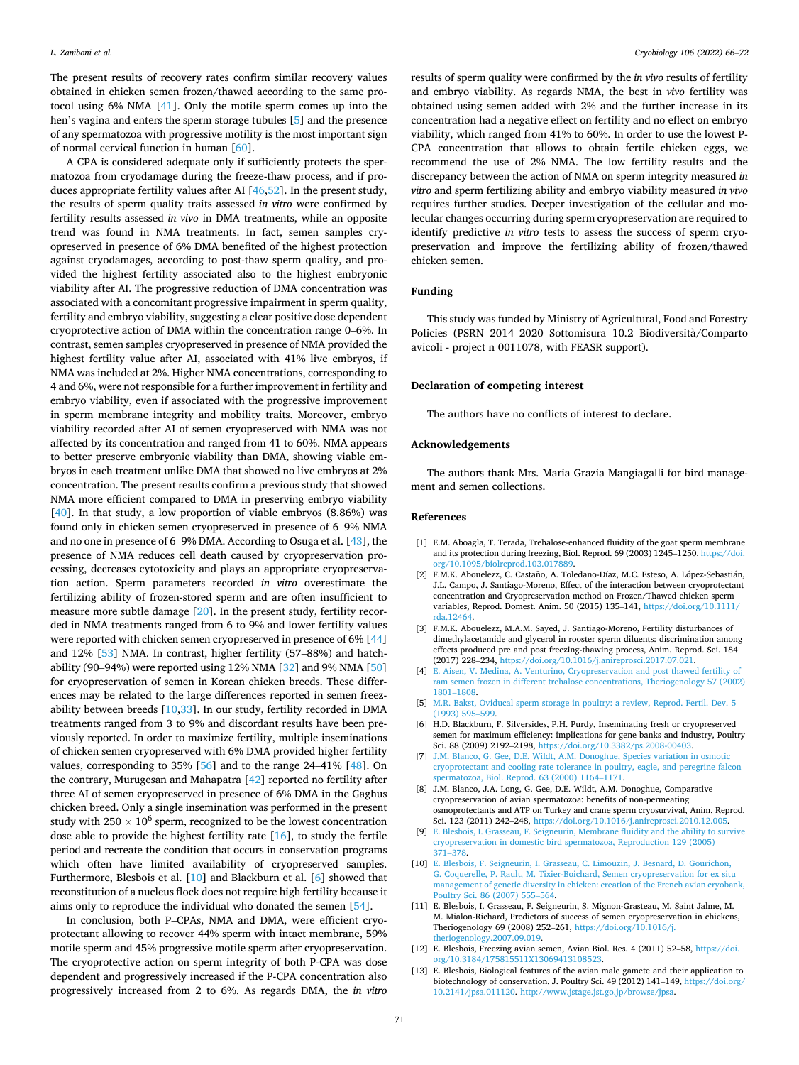<span id="page-5-0"></span>The present results of recovery rates confirm similar recovery values obtained in chicken semen frozen/thawed according to the same protocol using 6% NMA [[41\]](#page-6-0). Only the motile sperm comes up into the hen's vagina and enters the sperm storage tubules [5] and the presence of any spermatozoa with progressive motility is the most important sign of normal cervical function in human [[60\]](#page-6-0).

A CPA is considered adequate only if sufficiently protects the spermatozoa from cryodamage during the freeze-thaw process, and if produces appropriate fertility values after AI [\[46](#page-6-0),[52\]](#page-6-0). In the present study, the results of sperm quality traits assessed *in vitro* were confirmed by fertility results assessed *in vivo* in DMA treatments, while an opposite trend was found in NMA treatments. In fact, semen samples cryopreserved in presence of 6% DMA benefited of the highest protection against cryodamages, according to post-thaw sperm quality, and provided the highest fertility associated also to the highest embryonic viability after AI. The progressive reduction of DMA concentration was associated with a concomitant progressive impairment in sperm quality, fertility and embryo viability, suggesting a clear positive dose dependent cryoprotective action of DMA within the concentration range 0–6%. In contrast, semen samples cryopreserved in presence of NMA provided the highest fertility value after AI, associated with 41% live embryos, if NMA was included at 2%. Higher NMA concentrations, corresponding to 4 and 6%, were not responsible for a further improvement in fertility and embryo viability, even if associated with the progressive improvement in sperm membrane integrity and mobility traits. Moreover, embryo viability recorded after AI of semen cryopreserved with NMA was not affected by its concentration and ranged from 41 to 60%. NMA appears to better preserve embryonic viability than DMA, showing viable embryos in each treatment unlike DMA that showed no live embryos at 2% concentration. The present results confirm a previous study that showed NMA more efficient compared to DMA in preserving embryo viability [[40\]](#page-6-0). In that study, a low proportion of viable embryos (8.86%) was found only in chicken semen cryopreserved in presence of 6–9% NMA and no one in presence of 6–9% DMA. According to Osuga et al. [\[43](#page-6-0)], the presence of NMA reduces cell death caused by cryopreservation processing, decreases cytotoxicity and plays an appropriate cryopreservation action. Sperm parameters recorded *in vitro* overestimate the fertilizing ability of frozen-stored sperm and are often insufficient to measure more subtle damage [[20\]](#page-6-0). In the present study, fertility recorded in NMA treatments ranged from 6 to 9% and lower fertility values were reported with chicken semen cryopreserved in presence of 6% [\[44](#page-6-0)] and 12% [[53\]](#page-6-0) NMA. In contrast, higher fertility (57–88%) and hatchability (90–94%) were reported using 12% NMA [[32\]](#page-6-0) and 9% NMA [\[50](#page-6-0)] for cryopreservation of semen in Korean chicken breeds. These differences may be related to the large differences reported in semen freezability between breeds [10,[33\]](#page-6-0). In our study, fertility recorded in DMA treatments ranged from 3 to 9% and discordant results have been previously reported. In order to maximize fertility, multiple inseminations of chicken semen cryopreserved with 6% DMA provided higher fertility values, corresponding to 35% [\[56](#page-6-0)] and to the range 24–41% [\[48](#page-6-0)]. On the contrary, Murugesan and Mahapatra [[42\]](#page-6-0) reported no fertility after three AI of semen cryopreserved in presence of 6% DMA in the Gaghus chicken breed. Only a single insemination was performed in the present study with  $250 \times 10^6$  sperm, recognized to be the lowest concentration dose able to provide the highest fertility rate [[16\]](#page-6-0), to study the fertile period and recreate the condition that occurs in conservation programs which often have limited availability of cryopreserved samples. Furthermore, Blesbois et al. [10] and Blackburn et al. [6] showed that reconstitution of a nucleus flock does not require high fertility because it aims only to reproduce the individual who donated the semen [[54\]](#page-6-0).

In conclusion, both P–CPAs, NMA and DMA, were efficient cryoprotectant allowing to recover 44% sperm with intact membrane, 59% motile sperm and 45% progressive motile sperm after cryopreservation. The cryoprotective action on sperm integrity of both P-CPA was dose dependent and progressively increased if the P-CPA concentration also progressively increased from 2 to 6%. As regards DMA, the *in vitro* 

results of sperm quality were confirmed by the *in vivo* results of fertility and embryo viability. As regards NMA, the best in *vivo* fertility was obtained using semen added with 2% and the further increase in its concentration had a negative effect on fertility and no effect on embryo viability, which ranged from 41% to 60%. In order to use the lowest P-CPA concentration that allows to obtain fertile chicken eggs, we recommend the use of 2% NMA. The low fertility results and the discrepancy between the action of NMA on sperm integrity measured *in vitro* and sperm fertilizing ability and embryo viability measured *in vivo*  requires further studies. Deeper investigation of the cellular and molecular changes occurring during sperm cryopreservation are required to identify predictive *in vitro* tests to assess the success of sperm cryopreservation and improve the fertilizing ability of frozen/thawed chicken semen.

# **Funding**

This study was funded by Ministry of Agricultural, Food and Forestry Policies (PSRN 2014-2020 Sottomisura 10.2 Biodiversità/Comparto avicoli - project n 0011078, with FEASR support).

## **Declaration of competing interest**

The authors have no conflicts of interest to declare.

## **Acknowledgements**

The authors thank Mrs. Maria Grazia Mangiagalli for bird management and semen collections.

## **References**

- [1] E.M. Aboagla, T. Terada, Trehalose-enhanced fluidity of the goat sperm membrane and its protection during freezing, Biol. Reprod. 69 (2003) 1245–1250, [https://doi.](https://doi.org/10.1095/biolreprod.103.017889)  [org/10.1095/biolreprod.103.017889](https://doi.org/10.1095/biolreprod.103.017889).
- [2] F.M.K. Abouelezz, C. Castaño, A. Toledano-Díaz, M.C. Esteso, A. López-Sebastián, J.L. Campo, J. Santiago-Moreno, Effect of the interaction between cryoprotectant concentration and Cryopreservation method on Frozen/Thawed chicken sperm variables, Reprod. Domest. Anim. 50 (2015) 135–141, [https://doi.org/10.1111/](https://doi.org/10.1111/rda.12464)  [rda.12464](https://doi.org/10.1111/rda.12464).
- [3] F.M.K. Abouelezz, M.A.M. Sayed, J. Santiago-Moreno, Fertility disturbances of dimethylacetamide and glycerol in rooster sperm diluents: discrimination among effects produced pre and post freezing-thawing process, Anim. Reprod. Sci. 184 (2017) 228–234, <https://doi.org/10.1016/j.anireprosci.2017.07.021>.
- [4] [E. Aisen, V. Medina, A. Venturino, Cryopreservation and post thawed fertility of](http://refhub.elsevier.com/S0011-2240(22)00041-4/sref4) [ram semen frozen in different trehalose concentrations, Theriogenology 57 \(2002\)](http://refhub.elsevier.com/S0011-2240(22)00041-4/sref4)  1801–[1808.](http://refhub.elsevier.com/S0011-2240(22)00041-4/sref4)
- [5] [M.R. Bakst, Oviducal sperm storage in poultry: a review, Reprod. Fertil. Dev. 5](http://refhub.elsevier.com/S0011-2240(22)00041-4/sref5)  [\(1993\) 595](http://refhub.elsevier.com/S0011-2240(22)00041-4/sref5)–599.
- [6] H.D. Blackburn, F. Silversides, P.H. Purdy, Inseminating fresh or cryopreserved semen for maximum efficiency: implications for gene banks and industry, Poultry Sci. 88 (2009) 2192–2198, [https://doi.org/10.3382/ps.2008-00403.](https://doi.org/10.3382/ps.2008-00403)
- [7] [J.M. Blanco, G. Gee, D.E. Wildt, A.M. Donoghue, Species variation in osmotic](http://refhub.elsevier.com/S0011-2240(22)00041-4/sref7)  [cryoprotectant and cooling rate tolerance in poultry, eagle, and peregrine falcon](http://refhub.elsevier.com/S0011-2240(22)00041-4/sref7)  [spermatozoa, Biol. Reprod. 63 \(2000\) 1164](http://refhub.elsevier.com/S0011-2240(22)00041-4/sref7)–1171.
- [8] J.M. Blanco, J.A. Long, G. Gee, D.E. Wildt, A.M. Donoghue, Comparative cryopreservation of avian spermatozoa: benefits of non-permeating osmoprotectants and ATP on Turkey and crane sperm cryosurvival, Anim. Reprod. Sci. 123 (2011) 242–248, <https://doi.org/10.1016/j.anireprosci.2010.12.005>.
- [9] [E. Blesbois, I. Grasseau, F. Seigneurin, Membrane fluidity and the ability to survive](http://refhub.elsevier.com/S0011-2240(22)00041-4/sref9)  [cryopreservation in domestic bird spermatozoa, Reproduction 129 \(2005\)](http://refhub.elsevier.com/S0011-2240(22)00041-4/sref9) 371–[378.](http://refhub.elsevier.com/S0011-2240(22)00041-4/sref9)
- [10] [E. Blesbois, F. Seigneurin, I. Grasseau, C. Limouzin, J. Besnard, D. Gourichon,](http://refhub.elsevier.com/S0011-2240(22)00041-4/sref10) [G. Coquerelle, P. Rault, M. Tixier-Boichard, Semen cryopreservation for ex situ](http://refhub.elsevier.com/S0011-2240(22)00041-4/sref10)  [management of genetic diversity in chicken: creation of the French avian cryobank,](http://refhub.elsevier.com/S0011-2240(22)00041-4/sref10)  [Poultry Sci. 86 \(2007\) 555](http://refhub.elsevier.com/S0011-2240(22)00041-4/sref10)–564.
- [11] E. Blesbois, I. Grasseau, F. Seigneurin, S. Mignon-Grasteau, M. Saint Jalme, M. M. Mialon-Richard, Predictors of success of semen cryopreservation in chickens, Theriogenology 69 (2008) 252–261, [https://doi.org/10.1016/j.](https://doi.org/10.1016/j.theriogenology.2007.09.019) [theriogenology.2007.09.019](https://doi.org/10.1016/j.theriogenology.2007.09.019).
- [12] E. Blesbois, Freezing avian semen, Avian Biol. Res. 4 (2011) 52–58, [https://doi.](https://doi.org/10.3184/175815511X13069413108523)  [org/10.3184/175815511X13069413108523.](https://doi.org/10.3184/175815511X13069413108523)
- [13] E. Blesbois, Biological features of the avian male gamete and their application to biotechnology of conservation, J. Poultry Sci. 49 (2012) 141–149, [https://doi.org/](https://doi.org/10.2141/jpsa.011120)  [10.2141/jpsa.011120](https://doi.org/10.2141/jpsa.011120). <http://www.jstage.jst.go.jp/browse/jpsa>.